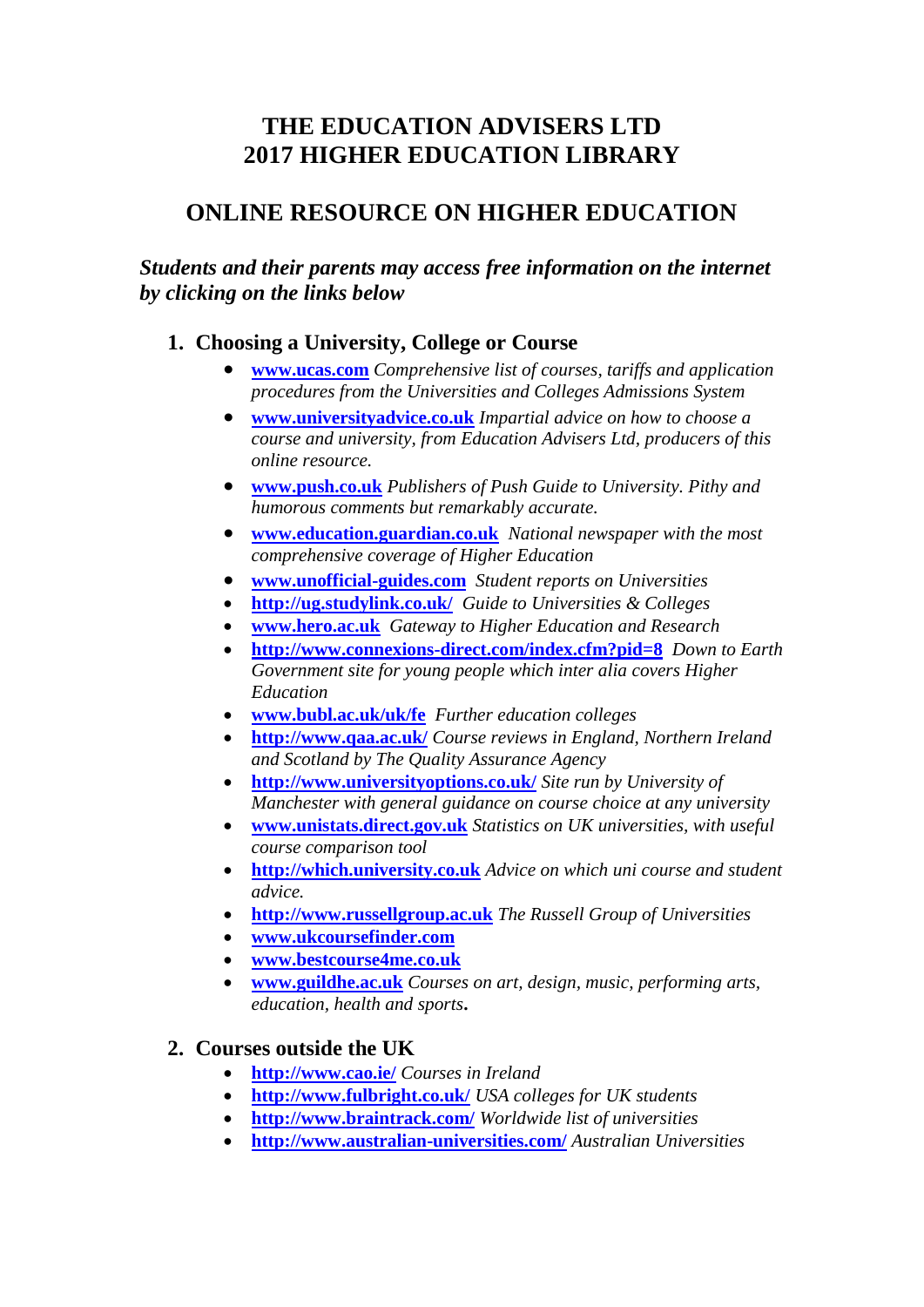# **THE EDUCATION ADVISERS LTD 2017 HIGHER EDUCATION LIBRARY**

# **ONLINE RESOURCE ON HIGHER EDUCATION**

*Students and their parents may access free information on the internet by clicking on the links below*

## **1. Choosing a University, College or Course**

- **[www.ucas.com](http://www.ucas.com/)** *Comprehensive list of courses, tariffs and application procedures from the Universities and Colleges Admissions System*
- **[www.universityadvice.co.uk](http://www.universityadvice.co.uk/)** *Impartial advice on how to choose a course and university, from Education Advisers Ltd, producers of this online resource.*
- **[www.push.co.uk](http://www.push.co.uk/)** *Publishers of Push Guide to University. Pithy and humorous comments but remarkably accurate.*
- **[www.education.guardian.co.uk](http://www.education.guardian.co.uk/)** *National newspaper with the most comprehensive coverage of Higher Education*
- **[www.unofficial-guides.com](http://www.unofficial-guides.com/)** *Student reports on Universities*
- **<http://ug.studylink.co.uk/>***Guide to Universities & Colleges*
- **[www.hero.ac.uk](http://www.hero.ac.uk/)** *Gateway to Higher Education and Research*
- **<http://www.connexions-direct.com/index.cfm?pid=8>***Down to Earth Government site for young people which inter alia covers Higher Education*
- **[www.bubl.ac.uk/uk/fe](http://www.bubl.ac.uk/uk/fe)** *Further education colleges*
- **<http://www.qaa.ac.uk/>** *Course reviews in England, Northern Ireland and Scotland by The Quality Assurance Agency*
- **<http://www.universityoptions.co.uk/>** *Site run by University of Manchester with general guidance on course choice at any university*
- **[www.unistats.direct.gov.uk](http://www.unistats.direct.gov.uk/)** *Statistics on UK universities, with useful course comparison tool*
- **[http://which.university.co.uk](http://which.university.co.uk/)** *Advice on which uni course and student advice.*
- **[http://www.russellgroup.ac.uk](http://www.russellgroup.ac.uk/)** *The Russell Group of Universities*
- **[www.ukcoursefinder.com](http://www.ukcoursefinder.com/)**
- **[www.bestcourse4me.co.uk](http://www.bestcourse4me.co.uk/)**
- **[www.guildhe.ac.uk](http://www.guildhe.ac.uk/)** *Courses on art, design, music, performing arts, education, health and sports***.**

# **2. Courses outside the UK**

- **<http://www.cao.ie/>** *Courses in Ireland*
- **<http://www.fulbright.co.uk/>** *USA colleges for UK students*
- **<http://www.braintrack.com/>** *Worldwide list of universities*
- **<http://www.australian-universities.com/>** *Australian Universities*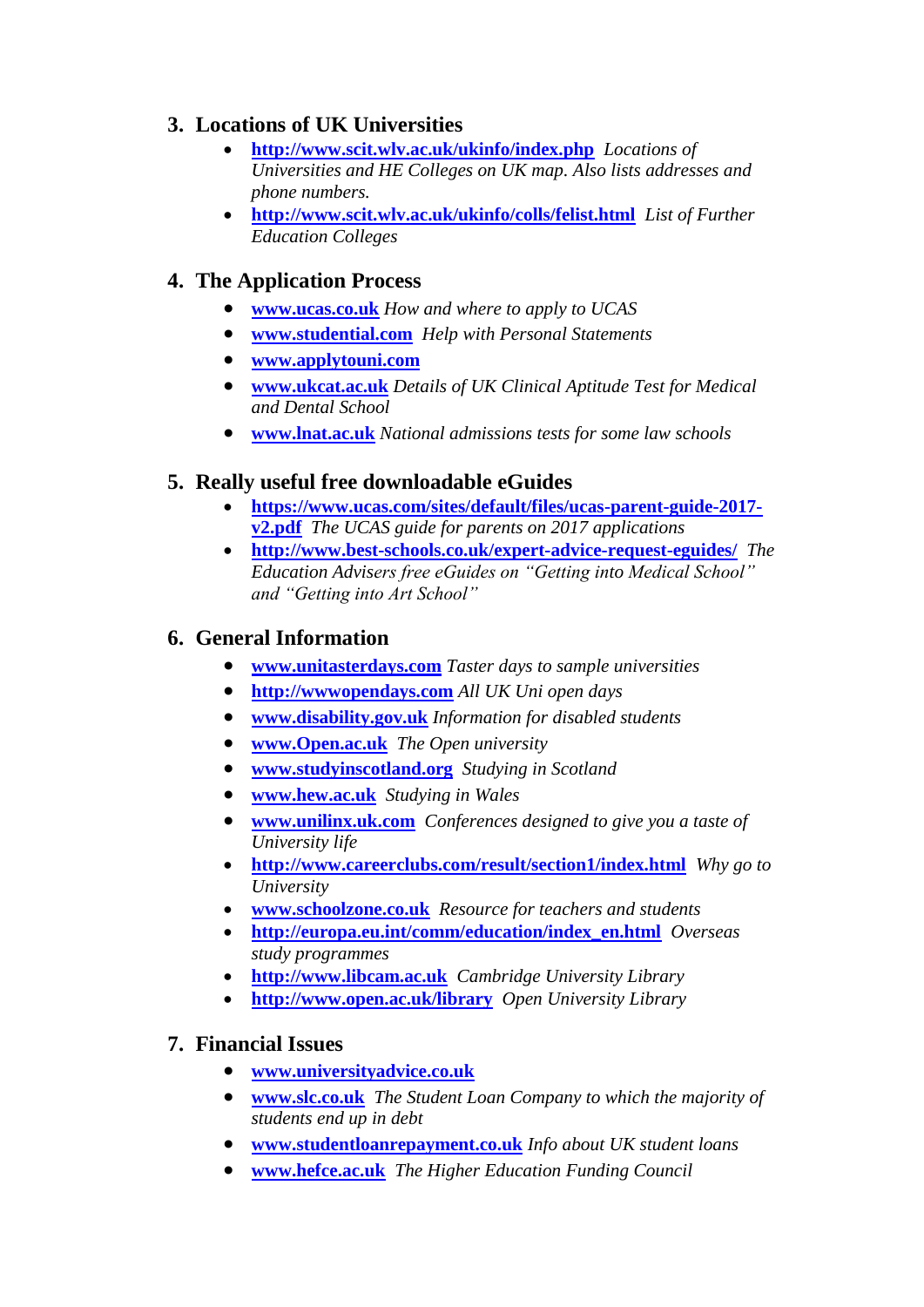# **3. Locations of UK Universities**

- **<http://www.scit.wlv.ac.uk/ukinfo/index.php>** *Locations of Universities and HE Colleges on UK map. Also lists addresses and phone numbers.*
- **<http://www.scit.wlv.ac.uk/ukinfo/colls/felist.html>***List of Further Education Colleges*

# **4. The Application Process**

- **[www.ucas.co.uk](http://www.ucas.co.uk/)** *How and where to apply to UCAS*
- **[www.studential.com](http://www.studential.com/)** *Help with Personal Statements*
- **[www.applytouni.com](http://www.applytouni.com/)**
- **[www.ukcat.ac.uk](http://www.ukcat.ac.uk/)** *Details of UK Clinical Aptitude Test for Medical and Dental School*
- **[www.lnat.ac.uk](http://www.lnat.ac.uk/)** *National admissions tests for some law schools*

## **5. Really useful free downloadable eGuides**

- **[https://www.ucas.com/sites/default/files/ucas-parent-guide-2017](https://www.ucas.com/sites/default/files/ucas-parent-guide-2017-v2.pdf) [v2.pdf](https://www.ucas.com/sites/default/files/ucas-parent-guide-2017-v2.pdf)** *The UCAS guide for parents on 2017 applications*
- **<http://www.best-schools.co.uk/expert-advice-request-eguides/>***The Education Advisers free eGuides on "Getting into Medical School" and "Getting into Art School"*

## **6. General Information**

- **[www.unitasterdays.com](http://www.unitasterdays.com/)** *Taster days to sample universities*
- **[http://wwwopendays.com](http://wwwopendays.com/)** *All UK Uni open days*
- **[www.disability.gov.uk](http://www.disability.gov.uk/)** *Information for disabled students*
- **[www.Open.ac.uk](http://www.open.ac.uk/)** *The Open university*
- **[www.studyinscotland.org](http://www.studyinscotland.org/)** *Studying in Scotland*
- **[www.hew.ac.uk](http://www.hew.ac.uk/)** *Studying in Wales*
- **[www.unilinx.uk.com](http://www.unilinx.uk.com/)** *Conferences designed to give you a taste of University life*
- **<http://www.careerclubs.com/result/section1/index.html>***Why go to University*
- **[www.schoolzone.co.uk](http://www.schoolzone.co.uk/)** *Resource for teachers and students*
- **[http://europa.eu.int/comm/education/index\\_en.html](http://europa.eu.int/comm/education/index_en.html)** *Overseas study programmes*
- **[http://www.libcam.ac.uk](http://www.libcam.ac.uk/)** *Cambridge University Library*
- **<http://www.open.ac.uk/library>***Open University Library*

### **7. Financial Issues**

- **[www.universityadvice.co.uk](http://www.universityadvice.co.uk/)**
- **[www.slc.co.uk](http://www.slc.co.uk/)** *The Student Loan Company to which the majority of students end up in debt*
- **[www.studentloanrepayment.co.uk](http://www.studentloanrepayment.co.uk/)** *Info about UK student loans*
- **[www.hefce.ac.uk](http://www.hefce.ac.uk/)** *The Higher Education Funding Council*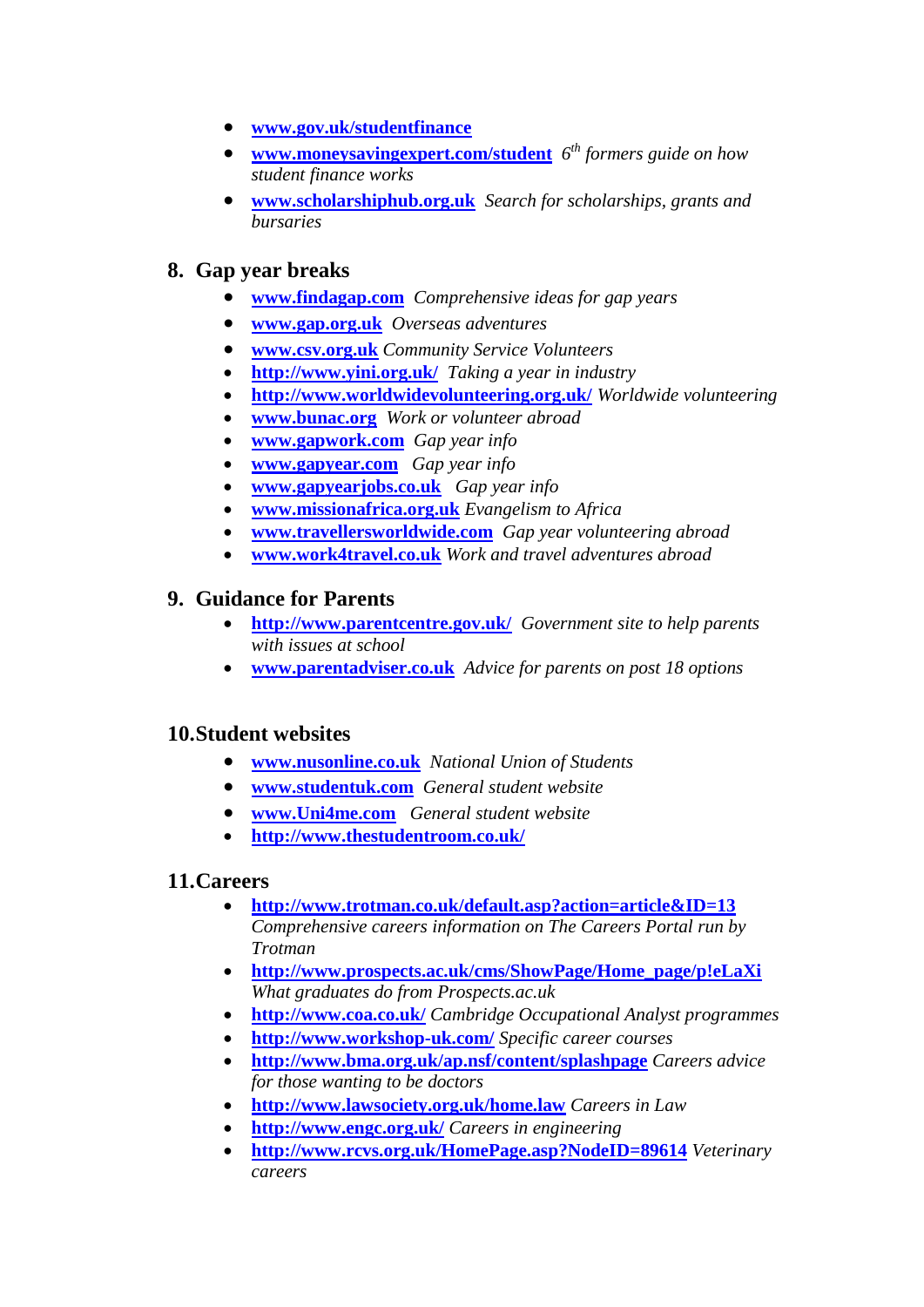- **[www.gov.uk/studentfinance](http://www.gov.uk/studentfinance)**
- **[www.moneysavingexpert.com/student](http://www.moneysavingexpert.com/student)** *6 th formers guide on how student finance works*
- **[www.scholarshiphub.org.uk](http://www.scholarshiphub.org.uk/)** *Search for scholarships, grants and bursaries*

## **8. Gap year breaks**

- **[www.findagap.com](http://www.findagap.com/)** *Comprehensive ideas for gap years*
- **[www.gap.org.uk](http://www.gap.org.uk/)** *Overseas adventures*
- **[www.csv.org.uk](http://www.csv.org.uk/)** *Community Service Volunteers*
- **<http://www.yini.org.uk/>***Taking a year in industry*
- **<http://www.worldwidevolunteering.org.uk/>** *Worldwide volunteering*
- **[www.bunac.org](http://www.bunac.org/)** *Work or volunteer abroad*
- **[www.gapwork.com](http://www.gapwork.com/)** *Gap year info*
- **[www.gapyear.com](http://www.gapyear.com/)** *Gap year info*
- **[www.gapyearjobs.co.uk](http://www.gapyearjobs.co.uk/)** *Gap year info*
- **[www.missionafrica.org.uk](http://www.missionafrica.org.uk/)** *Evangelism to Africa*
- **[www.travellersworldwide.com](http://www.travellersworldwide.com/)** *Gap year volunteering abroad*
- **[www.work4travel.co.uk](http://www.work4travel.co.uk/)** *Work and travel adventures abroad*

### **9. Guidance for Parents**

- **<http://www.parentcentre.gov.uk/>***Government site to help parents with issues at school*
- **[www.parentadviser.co.uk](http://www.parentadviser.co.uk/)** *Advice for parents on post 18 options*

### **10.Student websites**

- **[www.nusonline.co.uk](http://www.nusonline.co.uk/)** *National Union of Students*
- **[www.studentuk.com](http://www.studentuk.com/)** *General student website*
- **[www.Uni4me.com](http://www.uni4me.com/)** *General student website*
- **<http://www.thestudentroom.co.uk/>**

### **11.Careers**

- **<http://www.trotman.co.uk/default.asp?action=article&ID=13>** *Comprehensive careers information on The Careers Portal run by Trotman*
- **[http://www.prospects.ac.uk/cms/ShowPage/Home\\_page/p!eLaXi](http://www.prospects.ac.uk/cms/ShowPage/Home_page/p!eLaXi)** *What graduates do from Prospects.ac.uk*
- **<http://www.coa.co.uk/>** *Cambridge Occupational Analyst programmes*
- **<http://www.workshop-uk.com/>** *Specific career courses*
- **<http://www.bma.org.uk/ap.nsf/content/splashpage>** *Careers advice for those wanting to be doctors*
- **<http://www.lawsociety.org.uk/home.law>** *Careers in Law*
- **<http://www.engc.org.uk/>** *Careers in engineering*
- **<http://www.rcvs.org.uk/HomePage.asp?NodeID=89614>** *Veterinary careers*